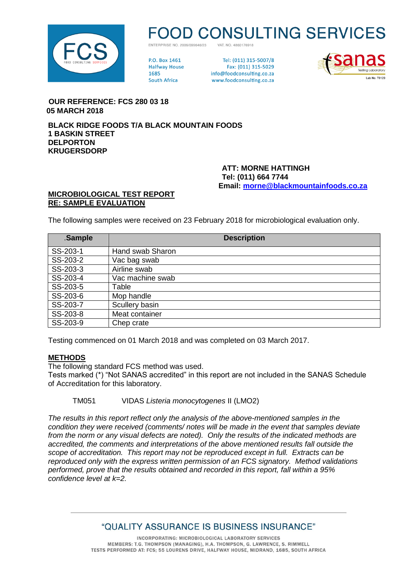

# **D CONSULTING SERVICES**

VAT NO 4860176918 ENTERPRISE NO 2009/099646/23

**PO Rox 1461 Halfway House** 1685 **South Africa** 

Tel: (011) 315-5007/8 Fax: (011) 315-5029 info@foodconsulting.co.za www.foodconsulting.co.za



 **OUR REFERENCE: FCS 280 03 18 05 MARCH 2018**

**BLACK RIDGE FOODS T/A BLACK MOUNTAIN FOODS 1 BASKIN STREET DELPORTON KRUGERSDORP**

> **ATT: MORNE HATTINGH Tel: (011) 664 7744 Email: [morne@blackmountainfoods.co.za](mailto:morne@blackmountainfoods.co.za)**

#### **MICROBIOLOGICAL TEST REPORT RE: SAMPLE EVALUATION**

The following samples were received on 23 February 2018 for microbiological evaluation only.

| .Sample  | <b>Description</b> |
|----------|--------------------|
| SS-203-1 | Hand swab Sharon   |
| SS-203-2 | Vac bag swab       |
| SS-203-3 | Airline swab       |
| SS-203-4 | Vac machine swab   |
| SS-203-5 | Table              |
| SS-203-6 | Mop handle         |
| SS-203-7 | Scullery basin     |
| SS-203-8 | Meat container     |
| SS-203-9 | Chep crate         |

Testing commenced on 01 March 2018 and was completed on 03 March 2017.

#### **METHODS**

The following standard FCS method was used.

Tests marked (\*) "Not SANAS accredited" in this report are not included in the SANAS Schedule of Accreditation for this laboratory.

TM051 VIDAS *Listeria monocytogenes* II (LMO2)

*The results in this report reflect only the analysis of the above-mentioned samples in the condition they were received (comments/ notes will be made in the event that samples deviate from the norm or any visual defects are noted). Only the results of the indicated methods are accredited, the comments and interpretations of the above mentioned results fall outside the scope of accreditation. This report may not be reproduced except in full. Extracts can be reproduced only with the express written permission of an FCS signatory. Method validations performed, prove that the results obtained and recorded in this report, fall within a 95% confidence level at k=2.*

## "QUALITY ASSURANCE IS BUSINESS INSURANCE"